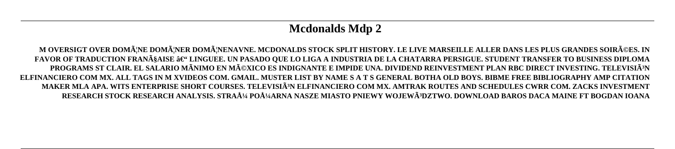# **Mcdonalds Mdp 2**

M OVERSIGT OVER DOMÄNE DOMÄNER DOMÄNENAVNE. MCDONALDS STOCK SPLIT HISTORY. LE LIVE MARSEILLE ALLER DANS LES PLUS GRANDES SOIRéES. IN FAVOR OF TRADUCTION FRANçAISE – LINGUEE. UN PASADO QUE LO LIGA A INDUSTRIA DE LA CHATARRA PERSIGUE. STUDENT TRANSFER TO BUSINESS DIPLOMA **PROGRAMS ST CLAIR. EL SALARIO MÃNIMO EN MéXICO ES INDIGNANTE E IMPIDE UNA. DIVIDEND REINVESTMENT PLAN RBC DIRECT INVESTING. TELEVISIóN ELFINANCIERO COM MX. ALL TAGS IN M XVIDEOS COM. GMAIL. MUSTER LIST BY NAME S A T S GENERAL BOTHA OLD BOYS. BIBME FREE BIBLIOGRAPHY AMP CITATION** MAKER MLA APA. WITS ENTERPRISE SHORT COURSES. TELEVISIÃ<sup>3</sup>N ELFINANCIERO COM MX. AMTRAK ROUTES AND SCHEDULES CWRR COM. ZACKS INVESTMENT **RESEARCH STOCK RESEARCH ANALYSIS. STRAż POżARNA NASZE MIASTO PNIEWY WOJEWóDZTWO. DOWNLOAD BAROS DACA MAINE FT BOGDAN IOANA**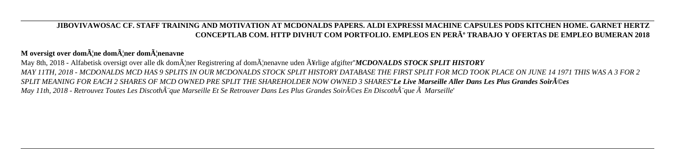### **JIBOVIVAWOSAC CF. STAFF TRAINING AND MOTIVATION AT MCDONALDS PAPERS. ALDI EXPRESSI MACHINE CAPSULES PODS KITCHEN HOME. GARNET HERTZ CONCEPTLAB COM. HTTP DIVHUT COM PORTFOLIO. EMPLEOS EN PERú TRABAJO Y OFERTAS DE EMPLEO BUMERAN 2018**

M oversigt over dom**A** ne domA ner domA nenavne May 8th, 2018 - Alfabetisk oversigt over alle dk dom $\tilde{A}$ lner Registrering af dom $\tilde{A}$ lnenavne uden  $\tilde{A}$ ¥rlige afgifter''*MCDONALDS STOCK SPLIT HISTORY MAY 11TH, 2018 - MCDONALDS MCD HAS 9 SPLITS IN OUR MCDONALDS STOCK SPLIT HISTORY DATABASE THE FIRST SPLIT FOR MCD TOOK PLACE ON JUNE 14 1971 THIS WAS A 3 FOR 2 SPLIT MEANING FOR EACH 2 SHARES OF MCD OWNED PRE SPLIT THE SHAREHOLDER NOW OWNED 3 SHARES*''*Le Live Marseille Aller Dans Les Plus Grandes Soirées May 11th, 2018 - Retrouvez Toutes Les Discoth* $\tilde{A}$ "que Marseille Et Se Retrouver Dans Les Plus Grandes Soir $\tilde{A}$ ©es En Discoth $\tilde{A}$ "que  $\tilde{A}$  Marseille'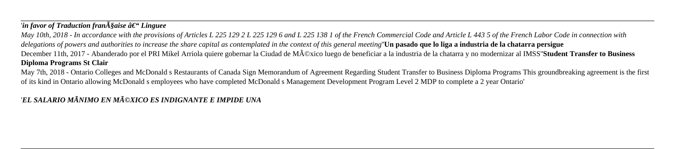## *'in favor of Traduction fran* $\tilde{A}$ *§aise*  $\hat{a} \in \tilde{B}$ *<sup>\*\*</sup> Linguee*

*May 10th, 2018 - In accordance with the provisions of Articles L 225 129 2 L 225 129 6 and L 225 138 1 of the French Commercial Code and Article L 443 5 of the French Labor Code in connection with delegations of powers and authorities to increase the share capital as contemplated in the context of this general meeting*''**Un pasado que lo liga a industria de la chatarra persigue** December 11th, 2017 - Abanderado por el PRI Mikel Arriola quiere gobernar la Ciudad de México luego de beneficiar a la industria de la chatarra y no modernizar al IMSS''**Student Transfer to Business Diploma Programs St Clair**

May 7th, 2018 - Ontario Colleges and McDonald s Restaurants of Canada Sign Memorandum of Agreement Regarding Student Transfer to Business Diploma Programs This groundbreaking agreement is the first of its kind in Ontario allowing McDonald s employees who have completed McDonald s Management Development Program Level 2 MDP to complete a 2 year Ontario'

## '*EL SALARIO MÃNIMO EN MéXICO ES INDIGNANTE E IMPIDE UNA*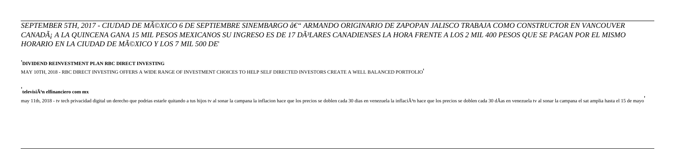## *SEPTEMBER 5TH, 2017 - CIUDAD DE MéXICO 6 DE SEPTIEMBRE SINEMBARGO â€*" ARMANDO ORIGINARIO DE ZAPOPAN JALISCO TRABAJA COMO CONSTRUCTOR EN VANCOUVER CANADÃ A LA QUINCENA GANA 15 MIL PESOS MEXICANOS SU INGRESO ES DE 17 DÃ<sup>3</sup>LARES CANADIENSES LA HORA FRENTE A LOS 2 MIL 400 PESOS QUE SE PAGAN POR EL MISMO *HORARIO EN LA CIUDAD DE MéXICO Y LOS 7 MIL 500 DE*'

#### '**DIVIDEND REINVESTMENT PLAN RBC DIRECT INVESTING**

MAY 10TH, 2018 - RBC DIRECT INVESTING OFFERS A WIDE RANGE OF INVESTMENT CHOICES TO HELP SELF DIRECTED INVESTORS CREATE A WELL BALANCED PORTFOLIO'

#### **televisiÃ3n elfinanciero com mx**

may 11th, 2018 - tv tech privacidad digital un derecho que podrias estarle quitando a tus hijos tv al sonar la campana la inflacion hace que los precios se doblen cada 30 dias en venezuela la inflaciÃ<sup>3</sup>n hace que los prec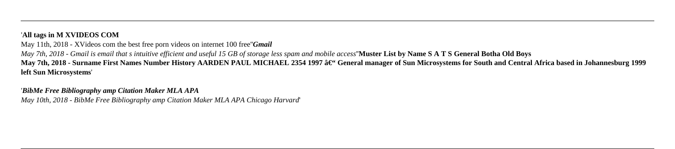### '**All tags in M XVIDEOS COM**

May 11th, 2018 - XVideos com the best free porn videos on internet 100 free''*Gmail*

*May 7th, 2018 - Gmail is email that s intuitive efficient and useful 15 GB of storage less spam and mobile access*''**Muster List by Name S A T S General Botha Old Boys** May 7th. 2018 - Surname First Names Number History AARDEN PAUL MICHAEL 2354 1997 â€" General manager of Sun Microsystems for South and Central Africa based in Johannesburg 1999 **left Sun Microsystems**'

'*BibMe Free Bibliography amp Citation Maker MLA APA May 10th, 2018 - BibMe Free Bibliography amp Citation Maker MLA APA Chicago Harvard*'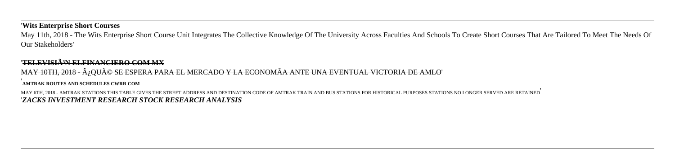#### '**Wits Enterprise Short Courses**

May 11th, 2018 - The Wits Enterprise Short Course Unit Integrates The Collective Knowledge Of The University Across Faculties And Schools To Create Short Courses That Are Tailored To Meet The Needs Of Our Stakeholders'

#### '**TELEVISIóN ELFINANCIERO COM MX**

MAY 10TH, 2018 - Â; QUé SE ESPERA PARA EL MERCADO Y LA ECONOMÃA ANTE UNA EVENTUAL VICTORIA DE AMLO' **AMTRAK ROUTES AND SCHEDULES CWRR COM**

MAY 6TH, 2018 - AMTRAK STATIONS THIS TABLE GIVES THE STREET ADDRESS AND DESTINATION CODE OF AMTRAK TRAIN AND BUS STATIONS FOR HISTORICAL PURPOSES STATIONS NO LONGER SERVED ARE RETAINED' '*ZACKS INVESTMENT RESEARCH STOCK RESEARCH ANALYSIS*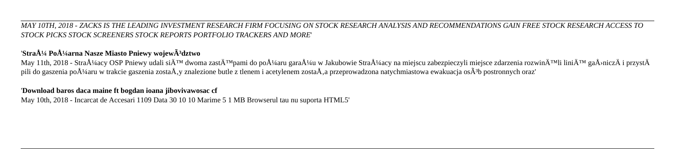#### *MAY 10TH, 2018 - ZACKS IS THE LEADING INVESTMENT RESEARCH FIRM FOCUSING ON STOCK RESEARCH ANALYSIS AND RECOMMENDATIONS GAIN FREE STOCK RESEARCH ACCESS TO STOCK PICKS STOCK SCREENERS STOCK REPORTS PORTFOLIO TRACKERS AND MORE*'

# 'Straż Pożarna Nasze Miasto Pniewy wojew $\tilde{A}$ <sup>3</sup>dztwo

May 11th, 2018 - Strażacy OSP Pniewy udali siÄ™ dwoma zastÄ™pami do pożaru garażu w Jakubowie Strażacy na miejscu zabezpieczyli miejsce zdarzenia rozwinÄ™li liniÄ™ gaÅ›niczÄ i przystÄ pili do gaszenia po $A\frac{1}{4}$ aru w trakcie gaszenia zosta $\AA$ , y znalezione butle z tlenem i acetylenem zosta $\AA$ , a przeprowadzona natychmiastowa ewakuacja os $\tilde{A}^3$ b postronnych oraz'

## '**Download baros daca maine ft bogdan ioana jibovivawosac cf**

May 10th, 2018 - Incarcat de Accesari 1109 Data 30 10 10 Marime 5 1 MB Browserul tau nu suporta HTML5'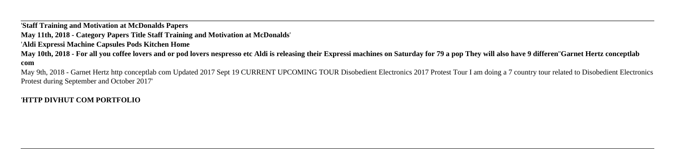'**Staff Training and Motivation at McDonalds Papers May 11th, 2018 - Category Papers Title Staff Training and Motivation at McDonalds**' '**Aldi Expressi Machine Capsules Pods Kitchen Home May 10th, 2018 - For all you coffee lovers and or pod lovers nespresso etc Aldi is releasing their Expressi machines on Saturday for 79 a pop They will also have 9 differen**''**Garnet Hertz conceptlab com**

May 9th, 2018 - Garnet Hertz http conceptlab com Updated 2017 Sept 19 CURRENT UPCOMING TOUR Disobedient Electronics 2017 Protest Tour I am doing a 7 country tour related to Disobedient Electronics Protest during September and October 2017'

#### '**HTTP DIVHUT COM PORTFOLIO**